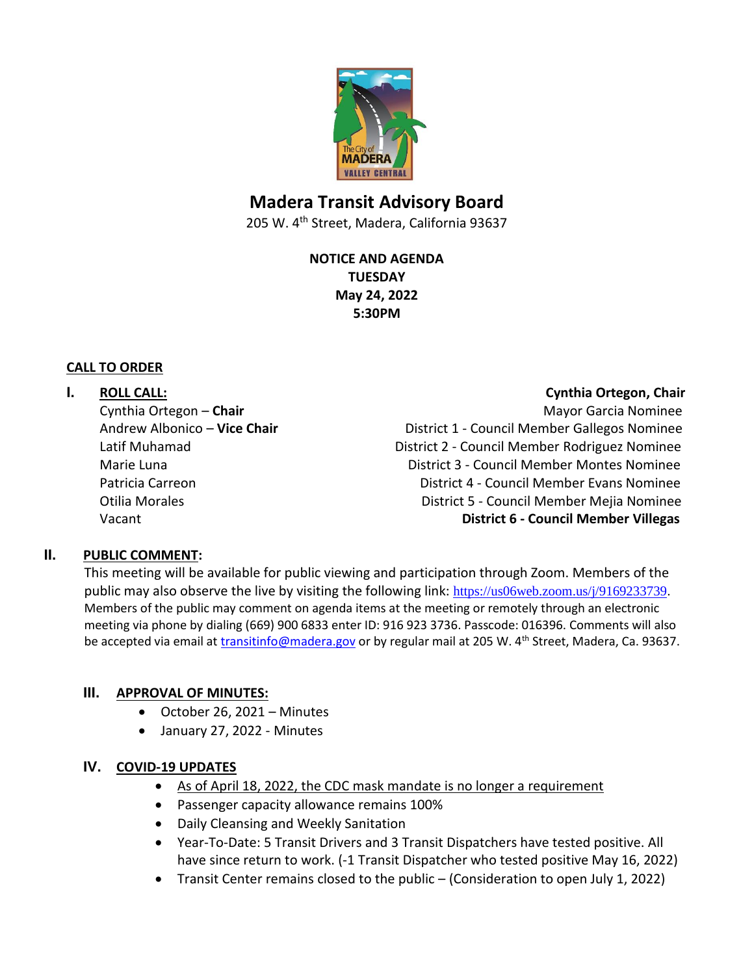

# **Madera Transit Advisory Board**

205 W. 4<sup>th</sup> Street, Madera, California 93637

**NOTICE AND AGENDA TUESDAY May 24, 2022 5:30PM**

#### **CALL TO ORDER**

**I. ROLL CALL: Cynthia Ortegon, Chair** Cynthia Ortegon – **Chair** Mayor Garcia Nominee Andrew Albonico – Vice Chair **District 1 - Council Member Gallegos Nominee** Latif Muhamad District 2 - Council Member Rodriguez Nominee Marie Luna District 3 - Council Member Montes Nominee Patricia Carreon District 4 - Council Member Evans Nominee Otilia Morales District 5 - Council Member Mejia Nominee Vacant **District 6 - Council Member Villegas**

#### **II. PUBLIC COMMENT:**

This meeting will be available for public viewing and participation through Zoom. Members of the public may also observe the live by visiting the following link: <https://us06web.zoom.us/j/9169233739>. Members of the public may comment on agenda items at the meeting or remotely through an electronic meeting via phone by dialing (669) 900 6833 enter ID: 916 923 3736. Passcode: 016396. Comments will also be accepted via email at [transitinfo@madera.gov](mailto:transitinfo@madera.gov) or by regular mail at 205 W. 4<sup>th</sup> Street, Madera, Ca. 93637.

# **III. APPROVAL OF MINUTES:**

- October 26, 2021 Minutes
- January 27, 2022 Minutes

# **IV. COVID-19 UPDATES**

- As of April 18, 2022, the CDC mask mandate is no longer a requirement
- Passenger capacity allowance remains 100%
- Daily Cleansing and Weekly Sanitation
- Year-To-Date: 5 Transit Drivers and 3 Transit Dispatchers have tested positive. All have since return to work. (-1 Transit Dispatcher who tested positive May 16, 2022)
- Transit Center remains closed to the public (Consideration to open July 1, 2022)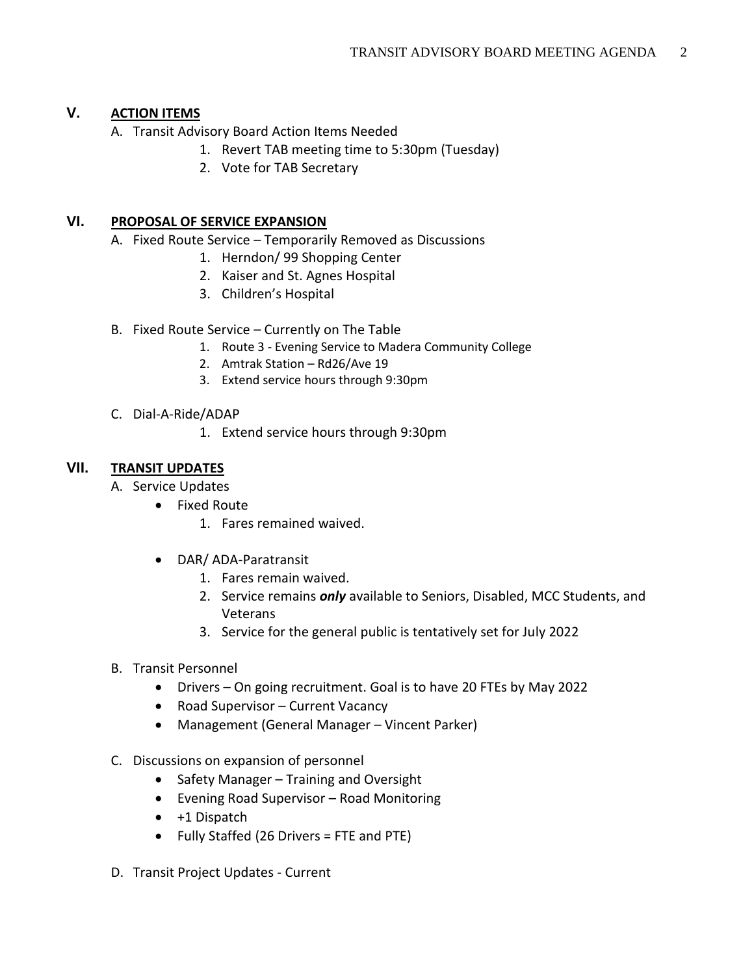# **V. ACTION ITEMS**

- A. Transit Advisory Board Action Items Needed
	- 1. Revert TAB meeting time to 5:30pm (Tuesday)
	- 2. Vote for TAB Secretary

# **VI. PROPOSAL OF SERVICE EXPANSION**

- A. Fixed Route Service Temporarily Removed as Discussions
	- 1. Herndon/ 99 Shopping Center
	- 2. Kaiser and St. Agnes Hospital
	- 3. Children's Hospital
- B. Fixed Route Service Currently on The Table
	- 1. Route 3 Evening Service to Madera Community College
	- 2. Amtrak Station Rd26/Ave 19
	- 3. Extend service hours through 9:30pm
- C. Dial-A-Ride/ADAP
	- 1. Extend service hours through 9:30pm

# **VII. TRANSIT UPDATES**

- A. Service Updates
	- Fixed Route
		- 1. Fares remained waived.
		- DAR/ ADA-Paratransit
			- 1. Fares remain waived.
			- 2. Service remains *only* available to Seniors, Disabled, MCC Students, and Veterans
			- 3. Service for the general public is tentatively set for July 2022
- B. Transit Personnel
	- Drivers On going recruitment. Goal is to have 20 FTEs by May 2022
	- Road Supervisor Current Vacancy
	- Management (General Manager Vincent Parker)
- C. Discussions on expansion of personnel
	- Safety Manager Training and Oversight
	- Evening Road Supervisor Road Monitoring
	- +1 Dispatch
	- Fully Staffed (26 Drivers = FTE and PTE)
- D. Transit Project Updates Current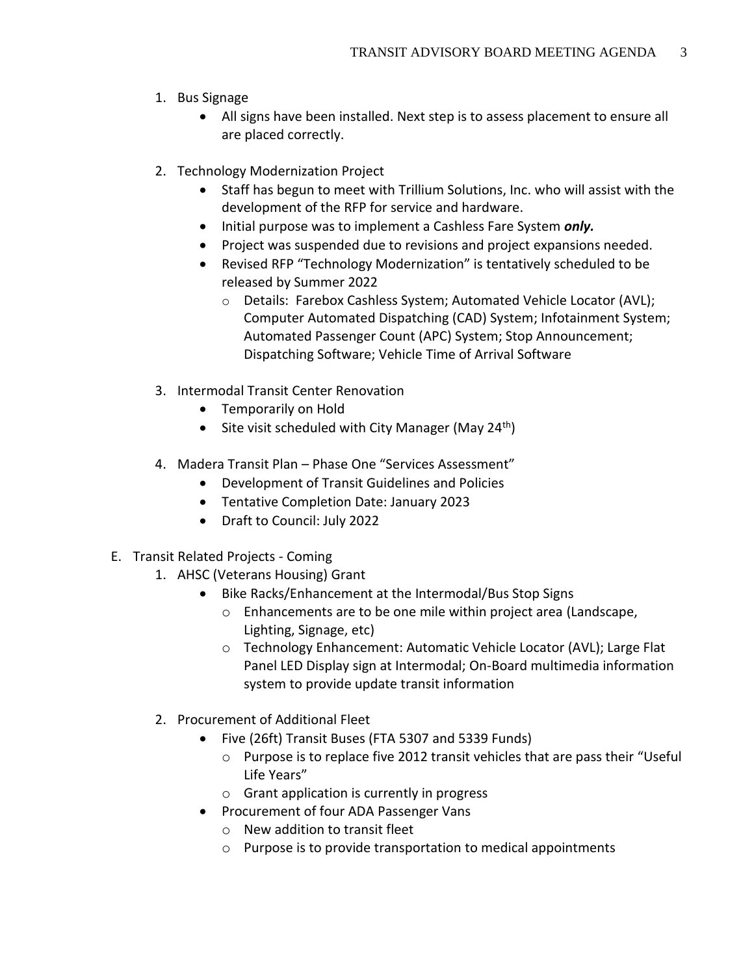- 1. Bus Signage
	- All signs have been installed. Next step is to assess placement to ensure all are placed correctly.
- 2. Technology Modernization Project
	- Staff has begun to meet with Trillium Solutions, Inc. who will assist with the development of the RFP for service and hardware.
	- Initial purpose was to implement a Cashless Fare System *only.*
	- Project was suspended due to revisions and project expansions needed.
	- Revised RFP "Technology Modernization" is tentatively scheduled to be released by Summer 2022
		- o Details: Farebox Cashless System; Automated Vehicle Locator (AVL); Computer Automated Dispatching (CAD) System; Infotainment System; Automated Passenger Count (APC) System; Stop Announcement; Dispatching Software; Vehicle Time of Arrival Software
- 3. Intermodal Transit Center Renovation
	- Temporarily on Hold
	- Site visit scheduled with City Manager (May 24<sup>th</sup>)
- 4. Madera Transit Plan Phase One "Services Assessment"
	- Development of Transit Guidelines and Policies
	- Tentative Completion Date: January 2023
	- Draft to Council: July 2022
- E. Transit Related Projects Coming
	- 1. AHSC (Veterans Housing) Grant
		- Bike Racks/Enhancement at the Intermodal/Bus Stop Signs
			- o Enhancements are to be one mile within project area (Landscape, Lighting, Signage, etc)
			- o Technology Enhancement: Automatic Vehicle Locator (AVL); Large Flat Panel LED Display sign at Intermodal; On-Board multimedia information system to provide update transit information
	- 2. Procurement of Additional Fleet
		- Five (26ft) Transit Buses (FTA 5307 and 5339 Funds)
			- $\circ$  Purpose is to replace five 2012 transit vehicles that are pass their "Useful Life Years"
			- o Grant application is currently in progress
		- Procurement of four ADA Passenger Vans
			- o New addition to transit fleet
			- o Purpose is to provide transportation to medical appointments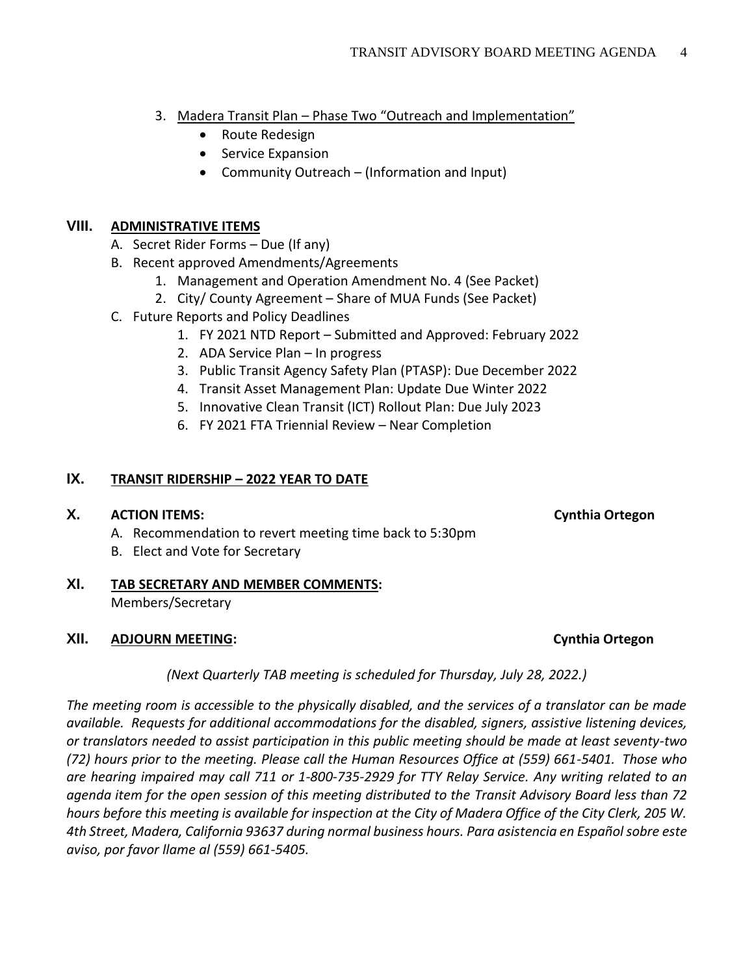- 3. Madera Transit Plan Phase Two "Outreach and Implementation"
	- Route Redesign
	- Service Expansion
	- Community Outreach (Information and Input)

### **VIII. ADMINISTRATIVE ITEMS**

- A. Secret Rider Forms Due (If any)
- B. Recent approved Amendments/Agreements
	- 1. Management and Operation Amendment No. 4 (See Packet)
	- 2. City/ County Agreement Share of MUA Funds (See Packet)
- C. Future Reports and Policy Deadlines
	- 1. FY 2021 NTD Report Submitted and Approved: February 2022
	- 2. ADA Service Plan In progress
	- 3. Public Transit Agency Safety Plan (PTASP): Due December 2022
	- 4. Transit Asset Management Plan: Update Due Winter 2022
	- 5. Innovative Clean Transit (ICT) Rollout Plan: Due July 2023
	- 6. FY 2021 FTA Triennial Review Near Completion

#### **IX. TRANSIT RIDERSHIP – 2022 YEAR TO DATE**

#### **X. ACTION ITEMS: Cynthia Ortegon**

- A. Recommendation to revert meeting time back to 5:30pm
- B. Elect and Vote for Secretary

# **XI. TAB SECRETARY AND MEMBER COMMENTS:** Members/Secretary

#### **XII. ADJOURN MEETING: Cynthia Ortegon**

*(Next Quarterly TAB meeting is scheduled for Thursday, July 28, 2022.)*

*The meeting room is accessible to the physically disabled, and the services of a translator can be made available. Requests for additional accommodations for the disabled, signers, assistive listening devices, or translators needed to assist participation in this public meeting should be made at least seventy-two (72) hours prior to the meeting. Please call the Human Resources Office at (559) 661-5401. Those who are hearing impaired may call 711 or 1-800-735-2929 for TTY Relay Service. Any writing related to an agenda item for the open session of this meeting distributed to the Transit Advisory Board less than 72 hours before this meeting is available for inspection at the City of Madera Office of the City Clerk, 205 W. 4th Street, Madera, California 93637 during normal business hours. Para asistencia en Español sobre este aviso, por favor llame al (559) 661-5405.*